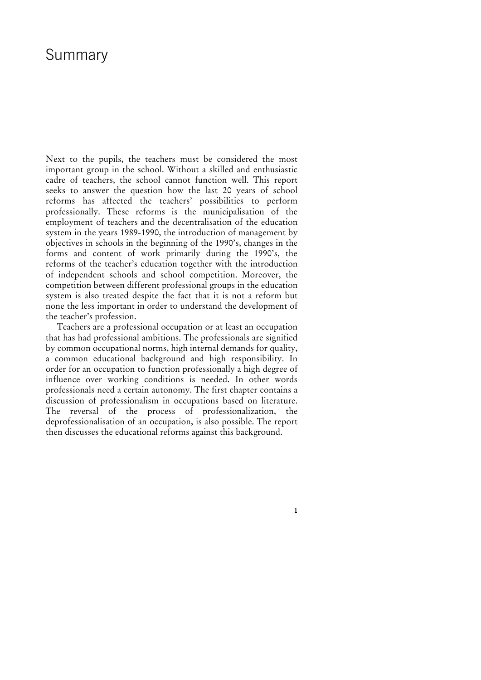# Summary

Next to the pupils, the teachers must be considered the most important group in the school. Without a skilled and enthusiastic cadre of teachers, the school cannot function well. This report seeks to answer the question how the last 20 years of school reforms has affected the teachers' possibilities to perform professionally. These reforms is the municipalisation of the employment of teachers and the decentralisation of the education system in the years 1989-1990, the introduction of management by objectives in schools in the beginning of the 1990's, changes in the forms and content of work primarily during the 1990's, the reforms of the teacher's education together with the introduction of independent schools and school competition. Moreover, the competition between different professional groups in the education system is also treated despite the fact that it is not a reform but none the less important in order to understand the development of the teacher's profession.

Teachers are a professional occupation or at least an occupation that has had professional ambitions. The professionals are signified by common occupational norms, high internal demands for quality, a common educational background and high responsibility. In order for an occupation to function professionally a high degree of influence over working conditions is needed. In other words professionals need a certain autonomy. The first chapter contains a discussion of professionalism in occupations based on literature. The reversal of the process of professionalization, the deprofessionalisation of an occupation, is also possible. The report then discusses the educational reforms against this background.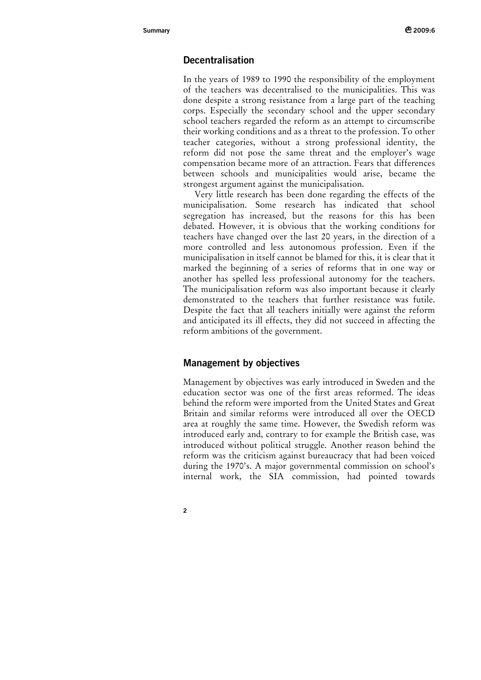# **Decentralisation**

In the years of 1989 to 1990 the responsibility of the employment of the teachers was decentralised to the municipalities. This was done despite a strong resistance from a large part of the teaching corps. Especially the secondary school and the upper secondary school teachers regarded the reform as an attempt to circumscribe their working conditions and as a threat to the profession. To other teacher categories, without a strong professional identity, the reform did not pose the same threat and the employer's wage compensation became more of an attraction. Fears that differences between schools and municipalities would arise, became the strongest argument against the municipalisation.

Very little research has been done regarding the effects of the municipalisation. Some research has indicated that school segregation has increased, but the reasons for this has been debated. However, it is obvious that the working conditions for teachers have changed over the last 20 years, in the direction of a more controlled and less autonomous profession. Even if the municipalisation in itself cannot be blamed for this, it is clear that it marked the beginning of a series of reforms that in one way or another has spelled less professional autonomy for the teachers. The municipalisation reform was also important because it clearly demonstrated to the teachers that further resistance was futile. Despite the fact that all teachers initially were against the reform and anticipated its ill effects, they did not succeed in affecting the reform ambitions of the government.

## **Management by objectives**

Management by objectives was early introduced in Sweden and the education sector was one of the first areas reformed. The ideas behind the reform were imported from the United States and Great Britain and similar reforms were introduced all over the OECD area at roughly the same time. However, the Swedish reform was introduced early and, contrary to for example the British case, was introduced without political struggle. Another reason behind the reform was the criticism against bureaucracy that had been voiced during the 1970's. A major governmental commission on school's internal work, the SIA commission, had pointed towards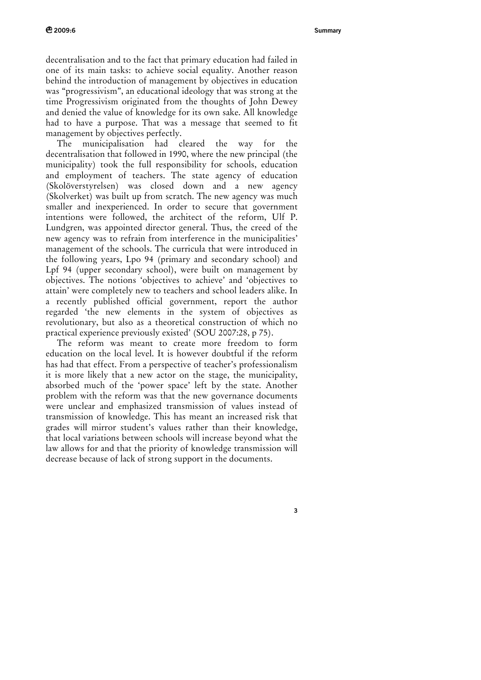**3**

decentralisation and to the fact that primary education had failed in one of its main tasks: to achieve social equality. Another reason behind the introduction of management by objectives in education was "progressivism", an educational ideology that was strong at the time Progressivism originated from the thoughts of John Dewey and denied the value of knowledge for its own sake. All knowledge had to have a purpose. That was a message that seemed to fit management by objectives perfectly.

The municipalisation had cleared the way for the decentralisation that followed in 1990, where the new principal (the municipality) took the full responsibility for schools, education and employment of teachers. The state agency of education (Skolöverstyrelsen) was closed down and a new agency (Skolverket) was built up from scratch. The new agency was much smaller and inexperienced. In order to secure that government intentions were followed, the architect of the reform, Ulf P. Lundgren, was appointed director general. Thus, the creed of the new agency was to refrain from interference in the municipalities' management of the schools. The curricula that were introduced in the following years, Lpo 94 (primary and secondary school) and Lpf 94 (upper secondary school), were built on management by objectives. The notions 'objectives to achieve' and 'objectives to attain' were completely new to teachers and school leaders alike. In a recently published official government, report the author regarded 'the new elements in the system of objectives as revolutionary, but also as a theoretical construction of which no practical experience previously existed' (SOU 2007:28, p 75).

The reform was meant to create more freedom to form education on the local level. It is however doubtful if the reform has had that effect. From a perspective of teacher's professionalism it is more likely that a new actor on the stage, the municipality, absorbed much of the 'power space' left by the state. Another problem with the reform was that the new governance documents were unclear and emphasized transmission of values instead of transmission of knowledge. This has meant an increased risk that grades will mirror student's values rather than their knowledge, that local variations between schools will increase beyond what the law allows for and that the priority of knowledge transmission will decrease because of lack of strong support in the documents.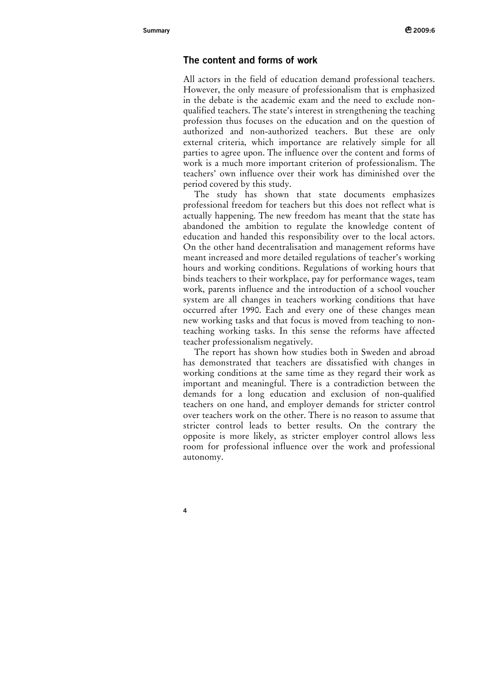# **The content and forms of work**

All actors in the field of education demand professional teachers. However, the only measure of professionalism that is emphasized in the debate is the academic exam and the need to exclude nonqualified teachers. The state's interest in strengthening the teaching profession thus focuses on the education and on the question of authorized and non-authorized teachers. But these are only external criteria, which importance are relatively simple for all parties to agree upon. The influence over the content and forms of work is a much more important criterion of professionalism. The teachers' own influence over their work has diminished over the period covered by this study.

The study has shown that state documents emphasizes professional freedom for teachers but this does not reflect what is actually happening. The new freedom has meant that the state has abandoned the ambition to regulate the knowledge content of education and handed this responsibility over to the local actors. On the other hand decentralisation and management reforms have meant increased and more detailed regulations of teacher's working hours and working conditions. Regulations of working hours that binds teachers to their workplace, pay for performance wages, team work, parents influence and the introduction of a school voucher system are all changes in teachers working conditions that have occurred after 1990. Each and every one of these changes mean new working tasks and that focus is moved from teaching to nonteaching working tasks. In this sense the reforms have affected teacher professionalism negatively.

The report has shown how studies both in Sweden and abroad has demonstrated that teachers are dissatisfied with changes in working conditions at the same time as they regard their work as important and meaningful. There is a contradiction between the demands for a long education and exclusion of non-qualified teachers on one hand, and employer demands for stricter control over teachers work on the other. There is no reason to assume that stricter control leads to better results. On the contrary the opposite is more likely, as stricter employer control allows less room for professional influence over the work and professional autonomy.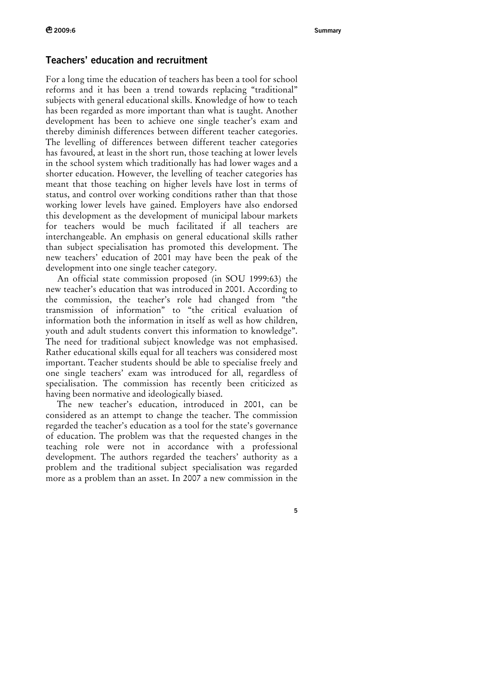### **Teachers' education and recruitment**

For a long time the education of teachers has been a tool for school reforms and it has been a trend towards replacing "traditional" subjects with general educational skills. Knowledge of how to teach has been regarded as more important than what is taught. Another development has been to achieve one single teacher's exam and thereby diminish differences between different teacher categories. The levelling of differences between different teacher categories has favoured, at least in the short run, those teaching at lower levels in the school system which traditionally has had lower wages and a shorter education. However, the levelling of teacher categories has meant that those teaching on higher levels have lost in terms of status, and control over working conditions rather than that those working lower levels have gained. Employers have also endorsed this development as the development of municipal labour markets for teachers would be much facilitated if all teachers are interchangeable. An emphasis on general educational skills rather than subject specialisation has promoted this development. The new teachers' education of 2001 may have been the peak of the development into one single teacher category.

An official state commission proposed (in SOU 1999:63) the new teacher's education that was introduced in 2001. According to the commission, the teacher's role had changed from "the transmission of information" to "the critical evaluation of information both the information in itself as well as how children, youth and adult students convert this information to knowledge". The need for traditional subject knowledge was not emphasised. Rather educational skills equal for all teachers was considered most important. Teacher students should be able to specialise freely and one single teachers' exam was introduced for all, regardless of specialisation. The commission has recently been criticized as having been normative and ideologically biased.

The new teacher's education, introduced in 2001, can be considered as an attempt to change the teacher. The commission regarded the teacher's education as a tool for the state's governance of education. The problem was that the requested changes in the teaching role were not in accordance with a professional development. The authors regarded the teachers' authority as a problem and the traditional subject specialisation was regarded more as a problem than an asset. In 2007 a new commission in the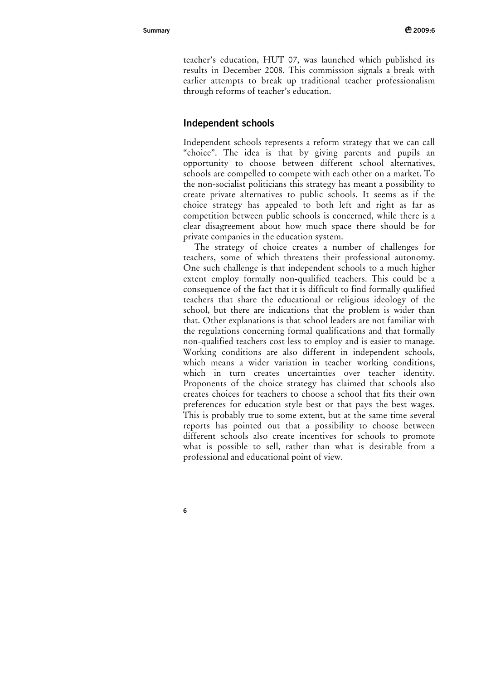teacher's education, HUT 07, was launched which published its results in December 2008. This commission signals a break with earlier attempts to break up traditional teacher professionalism through reforms of teacher's education.

# **Independent schools**

Independent schools represents a reform strategy that we can call "choice". The idea is that by giving parents and pupils an opportunity to choose between different school alternatives, schools are compelled to compete with each other on a market. To the non-socialist politicians this strategy has meant a possibility to create private alternatives to public schools. It seems as if the choice strategy has appealed to both left and right as far as competition between public schools is concerned, while there is a clear disagreement about how much space there should be for private companies in the education system.

The strategy of choice creates a number of challenges for teachers, some of which threatens their professional autonomy. One such challenge is that independent schools to a much higher extent employ formally non-qualified teachers. This could be a consequence of the fact that it is difficult to find formally qualified teachers that share the educational or religious ideology of the school, but there are indications that the problem is wider than that. Other explanations is that school leaders are not familiar with the regulations concerning formal qualifications and that formally non-qualified teachers cost less to employ and is easier to manage. Working conditions are also different in independent schools, which means a wider variation in teacher working conditions, which in turn creates uncertainties over teacher identity. Proponents of the choice strategy has claimed that schools also creates choices for teachers to choose a school that fits their own preferences for education style best or that pays the best wages. This is probably true to some extent, but at the same time several reports has pointed out that a possibility to choose between different schools also create incentives for schools to promote what is possible to sell, rather than what is desirable from a professional and educational point of view.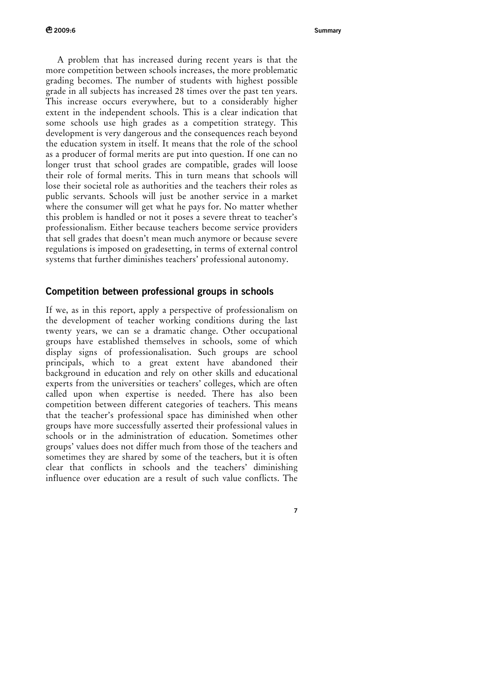A problem that has increased during recent years is that the more competition between schools increases, the more problematic grading becomes. The number of students with highest possible grade in all subjects has increased 28 times over the past ten years. This increase occurs everywhere, but to a considerably higher extent in the independent schools. This is a clear indication that some schools use high grades as a competition strategy. This development is very dangerous and the consequences reach beyond the education system in itself. It means that the role of the school as a producer of formal merits are put into question. If one can no longer trust that school grades are compatible, grades will loose their role of formal merits. This in turn means that schools will lose their societal role as authorities and the teachers their roles as public servants. Schools will just be another service in a market where the consumer will get what he pays for. No matter whether this problem is handled or not it poses a severe threat to teacher's professionalism. Either because teachers become service providers that sell grades that doesn't mean much anymore or because severe regulations is imposed on gradesetting, in terms of external control systems that further diminishes teachers' professional autonomy.

#### **Competition between professional groups in schools**

If we, as in this report, apply a perspective of professionalism on the development of teacher working conditions during the last twenty years, we can se a dramatic change. Other occupational groups have established themselves in schools, some of which display signs of professionalisation. Such groups are school principals, which to a great extent have abandoned their background in education and rely on other skills and educational experts from the universities or teachers' colleges, which are often called upon when expertise is needed. There has also been competition between different categories of teachers. This means that the teacher's professional space has diminished when other groups have more successfully asserted their professional values in schools or in the administration of education. Sometimes other groups' values does not differ much from those of the teachers and sometimes they are shared by some of the teachers, but it is often clear that conflicts in schools and the teachers' diminishing influence over education are a result of such value conflicts. The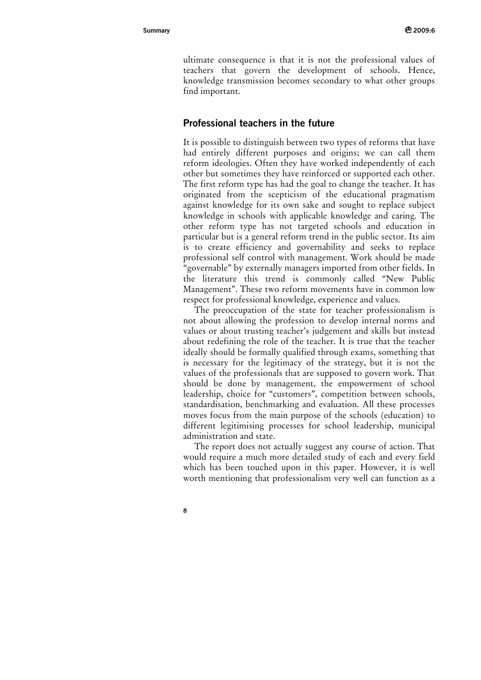ultimate consequence is that it is not the professional values of teachers that govern the development of schools. Hence, knowledge transmission becomes secondary to what other groups find important.

## **Professional teachers in the future**

It is possible to distinguish between two types of reforms that have had entirely different purposes and origins; we can call them reform ideologies. Often they have worked independently of each other but sometimes they have reinforced or supported each other. The first reform type has had the goal to change the teacher. It has originated from the scepticism of the educational pragmatism against knowledge for its own sake and sought to replace subject knowledge in schools with applicable knowledge and caring. The other reform type has not targeted schools and education in particular but is a general reform trend in the public sector. Its aim is to create efficiency and governability and seeks to replace professional self control with management. Work should be made "governable" by externally managers imported from other fields. In the literature this trend is commonly called "New Public Management". These two reform movements have in common low respect for professional knowledge, experience and values.

The preoccupation of the state for teacher professionalism is not about allowing the profession to develop internal norms and values or about trusting teacher's judgement and skills but instead about redefining the role of the teacher. It is true that the teacher ideally should be formally qualified through exams, something that is necessary for the legitimacy of the strategy, but it is not the values of the professionals that are supposed to govern work. That should be done by management, the empowerment of school leadership, choice for "customers", competition between schools, standardisation, benchmarking and evaluation. All these processes moves focus from the main purpose of the schools (education) to different legitimising processes for school leadership, municipal administration and state.

The report does not actually suggest any course of action. That would require a much more detailed study of each and every field which has been touched upon in this paper. However, it is well worth mentioning that professionalism very well can function as a